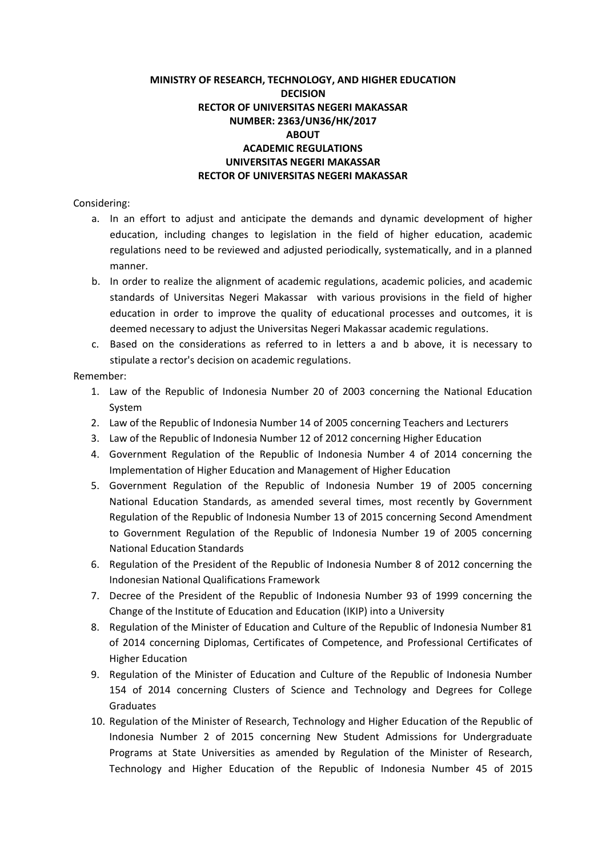#### **MINISTRY OF RESEARCH, TECHNOLOGY, AND HIGHER EDUCATION DECISION RECTOR OF UNIVERSITAS NEGERI MAKASSAR NUMBER: 2363/UN36/HK/2017 ABOUT ACADEMIC REGULATIONS UNIVERSITAS NEGERI MAKASSAR RECTOR OF UNIVERSITAS NEGERI MAKASSAR**

#### Considering:

- a. In an effort to adjust and anticipate the demands and dynamic development of higher education, including changes to legislation in the field of higher education, academic regulations need to be reviewed and adjusted periodically, systematically, and in a planned manner.
- b. In order to realize the alignment of academic regulations, academic policies, and academic standards of Universitas Negeri Makassar with various provisions in the field of higher education in order to improve the quality of educational processes and outcomes, it is deemed necessary to adjust the Universitas Negeri Makassar academic regulations.
- c. Based on the considerations as referred to in letters a and b above, it is necessary to stipulate a rector's decision on academic regulations.

#### Remember:

- 1. Law of the Republic of Indonesia Number 20 of 2003 concerning the National Education System
- 2. Law of the Republic of Indonesia Number 14 of 2005 concerning Teachers and Lecturers
- 3. Law of the Republic of Indonesia Number 12 of 2012 concerning Higher Education
- 4. Government Regulation of the Republic of Indonesia Number 4 of 2014 concerning the Implementation of Higher Education and Management of Higher Education
- 5. Government Regulation of the Republic of Indonesia Number 19 of 2005 concerning National Education Standards, as amended several times, most recently by Government Regulation of the Republic of Indonesia Number 13 of 2015 concerning Second Amendment to Government Regulation of the Republic of Indonesia Number 19 of 2005 concerning National Education Standards
- 6. Regulation of the President of the Republic of Indonesia Number 8 of 2012 concerning the Indonesian National Qualifications Framework
- 7. Decree of the President of the Republic of Indonesia Number 93 of 1999 concerning the Change of the Institute of Education and Education (IKIP) into a University
- 8. Regulation of the Minister of Education and Culture of the Republic of Indonesia Number 81 of 2014 concerning Diplomas, Certificates of Competence, and Professional Certificates of Higher Education
- 9. Regulation of the Minister of Education and Culture of the Republic of Indonesia Number 154 of 2014 concerning Clusters of Science and Technology and Degrees for College Graduates
- 10. Regulation of the Minister of Research, Technology and Higher Education of the Republic of Indonesia Number 2 of 2015 concerning New Student Admissions for Undergraduate Programs at State Universities as amended by Regulation of the Minister of Research, Technology and Higher Education of the Republic of Indonesia Number 45 of 2015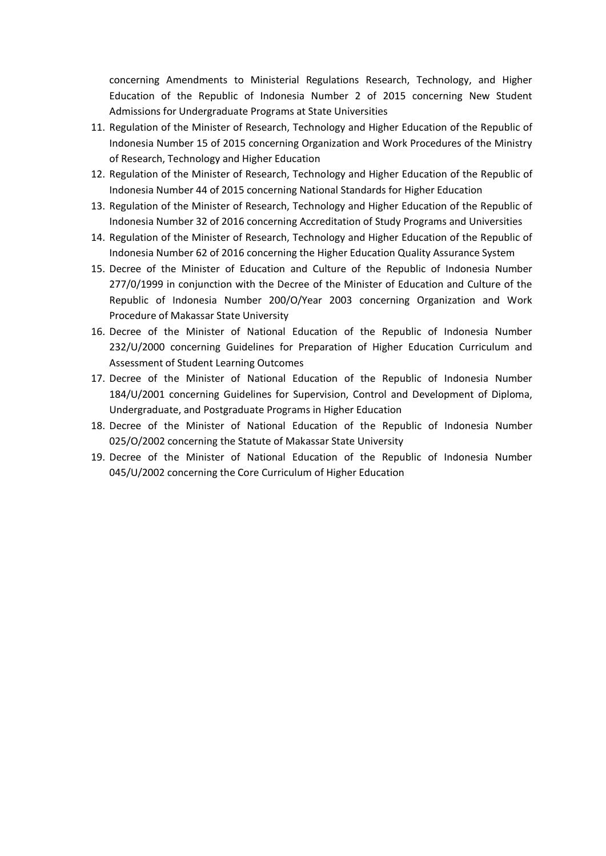concerning Amendments to Ministerial Regulations Research, Technology, and Higher Education of the Republic of Indonesia Number 2 of 2015 concerning New Student Admissions for Undergraduate Programs at State Universities

- 11. Regulation of the Minister of Research, Technology and Higher Education of the Republic of Indonesia Number 15 of 2015 concerning Organization and Work Procedures of the Ministry of Research, Technology and Higher Education
- 12. Regulation of the Minister of Research, Technology and Higher Education of the Republic of Indonesia Number 44 of 2015 concerning National Standards for Higher Education
- 13. Regulation of the Minister of Research, Technology and Higher Education of the Republic of Indonesia Number 32 of 2016 concerning Accreditation of Study Programs and Universities
- 14. Regulation of the Minister of Research, Technology and Higher Education of the Republic of Indonesia Number 62 of 2016 concerning the Higher Education Quality Assurance System
- 15. Decree of the Minister of Education and Culture of the Republic of Indonesia Number 277/0/1999 in conjunction with the Decree of the Minister of Education and Culture of the Republic of Indonesia Number 200/O/Year 2003 concerning Organization and Work Procedure of Makassar State University
- 16. Decree of the Minister of National Education of the Republic of Indonesia Number 232/U/2000 concerning Guidelines for Preparation of Higher Education Curriculum and Assessment of Student Learning Outcomes
- 17. Decree of the Minister of National Education of the Republic of Indonesia Number 184/U/2001 concerning Guidelines for Supervision, Control and Development of Diploma, Undergraduate, and Postgraduate Programs in Higher Education
- 18. Decree of the Minister of National Education of the Republic of Indonesia Number 025/O/2002 concerning the Statute of Makassar State University
- 19. Decree of the Minister of National Education of the Republic of Indonesia Number 045/U/2002 concerning the Core Curriculum of Higher Education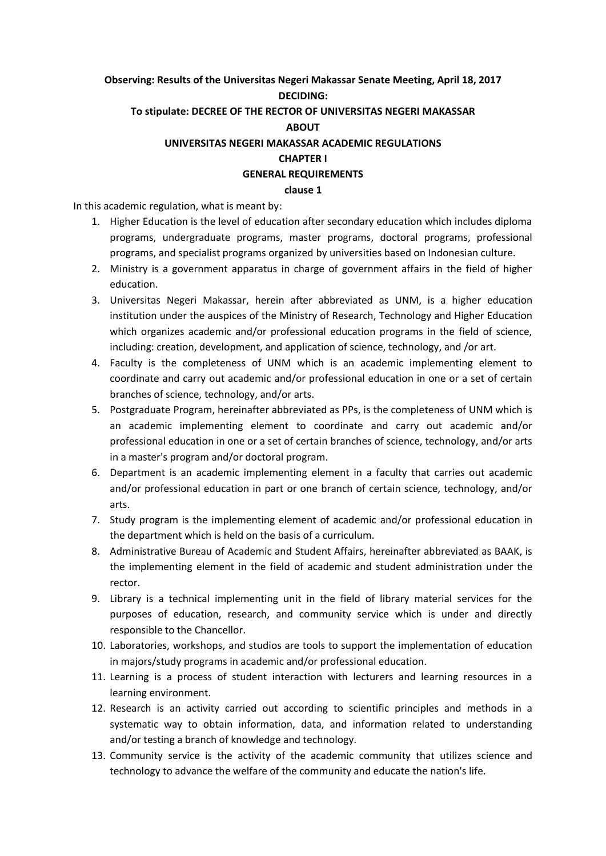# **Observing: Results of the Universitas Negeri Makassar Senate Meeting, April 18, 2017 DECIDING: To stipulate: DECREE OF THE RECTOR OF UNIVERSITAS NEGERI MAKASSAR ABOUT UNIVERSITAS NEGERI MAKASSAR ACADEMIC REGULATIONS CHAPTER I GENERAL REQUIREMENTS**

**clause 1**

In this academic regulation, what is meant by:

- 1. Higher Education is the level of education after secondary education which includes diploma programs, undergraduate programs, master programs, doctoral programs, professional programs, and specialist programs organized by universities based on Indonesian culture.
- 2. Ministry is a government apparatus in charge of government affairs in the field of higher education.
- 3. Universitas Negeri Makassar, herein after abbreviated as UNM, is a higher education institution under the auspices of the Ministry of Research, Technology and Higher Education which organizes academic and/or professional education programs in the field of science, including: creation, development, and application of science, technology, and /or art.
- 4. Faculty is the completeness of UNM which is an academic implementing element to coordinate and carry out academic and/or professional education in one or a set of certain branches of science, technology, and/or arts.
- 5. Postgraduate Program, hereinafter abbreviated as PPs, is the completeness of UNM which is an academic implementing element to coordinate and carry out academic and/or professional education in one or a set of certain branches of science, technology, and/or arts in a master's program and/or doctoral program.
- 6. Department is an academic implementing element in a faculty that carries out academic and/or professional education in part or one branch of certain science, technology, and/or arts.
- 7. Study program is the implementing element of academic and/or professional education in the department which is held on the basis of a curriculum.
- 8. Administrative Bureau of Academic and Student Affairs, hereinafter abbreviated as BAAK, is the implementing element in the field of academic and student administration under the rector.
- 9. Library is a technical implementing unit in the field of library material services for the purposes of education, research, and community service which is under and directly responsible to the Chancellor.
- 10. Laboratories, workshops, and studios are tools to support the implementation of education in majors/study programs in academic and/or professional education.
- 11. Learning is a process of student interaction with lecturers and learning resources in a learning environment.
- 12. Research is an activity carried out according to scientific principles and methods in a systematic way to obtain information, data, and information related to understanding and/or testing a branch of knowledge and technology.
- 13. Community service is the activity of the academic community that utilizes science and technology to advance the welfare of the community and educate the nation's life.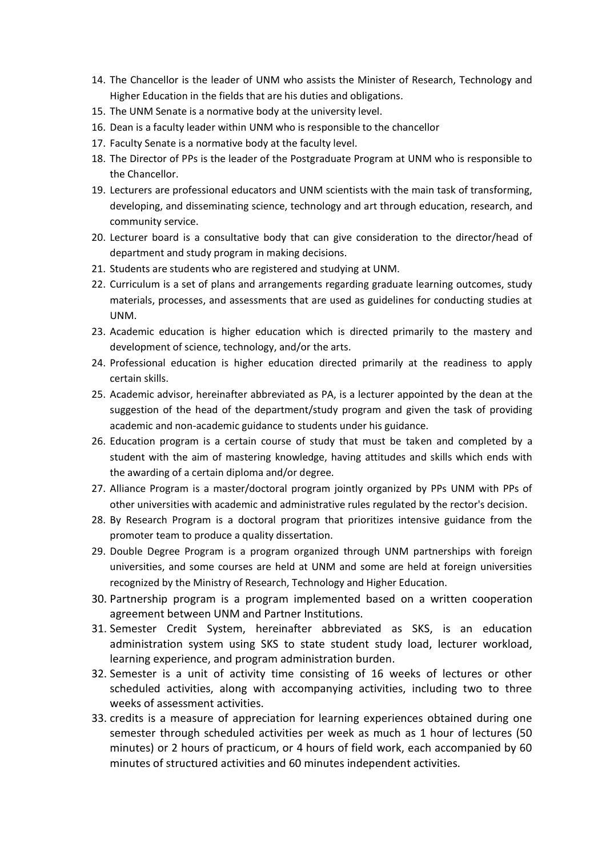- 14. The Chancellor is the leader of UNM who assists the Minister of Research, Technology and Higher Education in the fields that are his duties and obligations.
- 15. The UNM Senate is a normative body at the university level.
- 16. Dean is a faculty leader within UNM who is responsible to the chancellor
- 17. Faculty Senate is a normative body at the faculty level.
- 18. The Director of PPs is the leader of the Postgraduate Program at UNM who is responsible to the Chancellor.
- 19. Lecturers are professional educators and UNM scientists with the main task of transforming, developing, and disseminating science, technology and art through education, research, and community service.
- 20. Lecturer board is a consultative body that can give consideration to the director/head of department and study program in making decisions.
- 21. Students are students who are registered and studying at UNM.
- 22. Curriculum is a set of plans and arrangements regarding graduate learning outcomes, study materials, processes, and assessments that are used as guidelines for conducting studies at UNM.
- 23. Academic education is higher education which is directed primarily to the mastery and development of science, technology, and/or the arts.
- 24. Professional education is higher education directed primarily at the readiness to apply certain skills.
- 25. Academic advisor, hereinafter abbreviated as PA, is a lecturer appointed by the dean at the suggestion of the head of the department/study program and given the task of providing academic and non-academic guidance to students under his guidance.
- 26. Education program is a certain course of study that must be taken and completed by a student with the aim of mastering knowledge, having attitudes and skills which ends with the awarding of a certain diploma and/or degree.
- 27. Alliance Program is a master/doctoral program jointly organized by PPs UNM with PPs of other universities with academic and administrative rules regulated by the rector's decision.
- 28. By Research Program is a doctoral program that prioritizes intensive guidance from the promoter team to produce a quality dissertation.
- 29. Double Degree Program is a program organized through UNM partnerships with foreign universities, and some courses are held at UNM and some are held at foreign universities recognized by the Ministry of Research, Technology and Higher Education.
- 30. Partnership program is a program implemented based on a written cooperation agreement between UNM and Partner Institutions.
- 31. Semester Credit System, hereinafter abbreviated as SKS, is an education administration system using SKS to state student study load, lecturer workload, learning experience, and program administration burden.
- 32. Semester is a unit of activity time consisting of 16 weeks of lectures or other scheduled activities, along with accompanying activities, including two to three weeks of assessment activities.
- 33. credits is a measure of appreciation for learning experiences obtained during one semester through scheduled activities per week as much as 1 hour of lectures (50 minutes) or 2 hours of practicum, or 4 hours of field work, each accompanied by 60 minutes of structured activities and 60 minutes independent activities.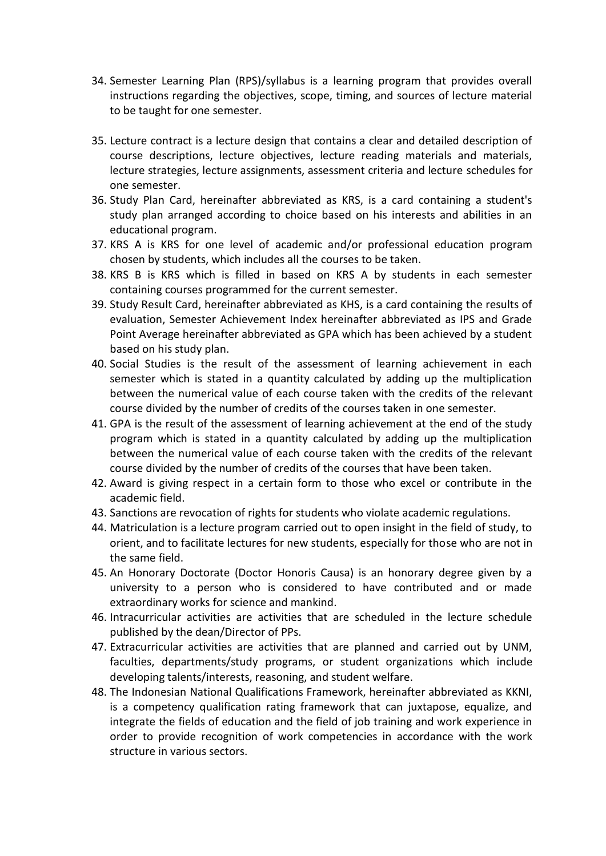- 34. Semester Learning Plan (RPS)/syllabus is a learning program that provides overall instructions regarding the objectives, scope, timing, and sources of lecture material to be taught for one semester.
- 35. Lecture contract is a lecture design that contains a clear and detailed description of course descriptions, lecture objectives, lecture reading materials and materials, lecture strategies, lecture assignments, assessment criteria and lecture schedules for one semester.
- 36. Study Plan Card, hereinafter abbreviated as KRS, is a card containing a student's study plan arranged according to choice based on his interests and abilities in an educational program.
- 37. KRS A is KRS for one level of academic and/or professional education program chosen by students, which includes all the courses to be taken.
- 38. KRS B is KRS which is filled in based on KRS A by students in each semester containing courses programmed for the current semester.
- 39. Study Result Card, hereinafter abbreviated as KHS, is a card containing the results of evaluation, Semester Achievement Index hereinafter abbreviated as IPS and Grade Point Average hereinafter abbreviated as GPA which has been achieved by a student based on his study plan.
- 40. Social Studies is the result of the assessment of learning achievement in each semester which is stated in a quantity calculated by adding up the multiplication between the numerical value of each course taken with the credits of the relevant course divided by the number of credits of the courses taken in one semester.
- 41. GPA is the result of the assessment of learning achievement at the end of the study program which is stated in a quantity calculated by adding up the multiplication between the numerical value of each course taken with the credits of the relevant course divided by the number of credits of the courses that have been taken.
- 42. Award is giving respect in a certain form to those who excel or contribute in the academic field.
- 43. Sanctions are revocation of rights for students who violate academic regulations.
- 44. Matriculation is a lecture program carried out to open insight in the field of study, to orient, and to facilitate lectures for new students, especially for those who are not in the same field.
- 45. An Honorary Doctorate (Doctor Honoris Causa) is an honorary degree given by a university to a person who is considered to have contributed and or made extraordinary works for science and mankind.
- 46. Intracurricular activities are activities that are scheduled in the lecture schedule published by the dean/Director of PPs.
- 47. Extracurricular activities are activities that are planned and carried out by UNM, faculties, departments/study programs, or student organizations which include developing talents/interests, reasoning, and student welfare.
- 48. The Indonesian National Qualifications Framework, hereinafter abbreviated as KKNI, is a competency qualification rating framework that can juxtapose, equalize, and integrate the fields of education and the field of job training and work experience in order to provide recognition of work competencies in accordance with the work structure in various sectors.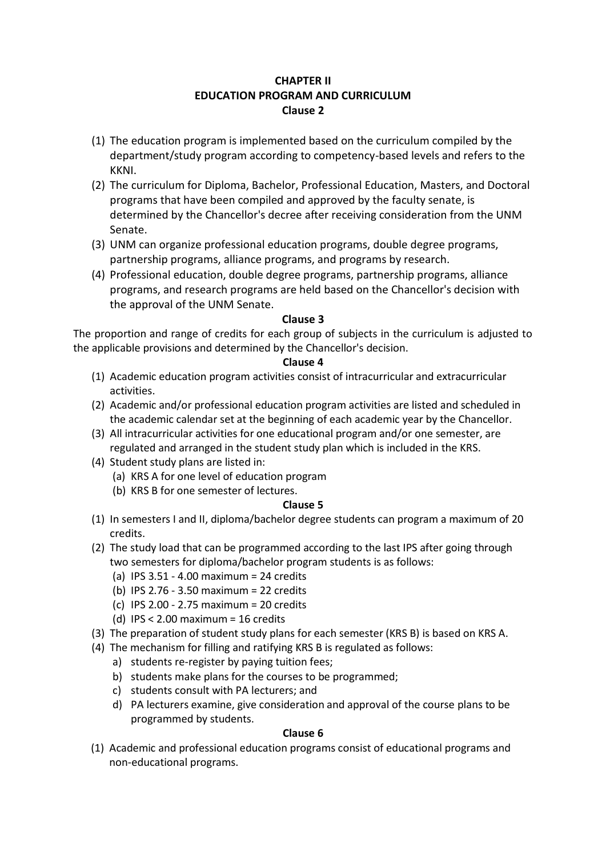## **CHAPTER II EDUCATION PROGRAM AND CURRICULUM Clause 2**

- (1) The education program is implemented based on the curriculum compiled by the department/study program according to competency-based levels and refers to the KKNI.
- (2) The curriculum for Diploma, Bachelor, Professional Education, Masters, and Doctoral programs that have been compiled and approved by the faculty senate, is determined by the Chancellor's decree after receiving consideration from the UNM Senate.
- (3) UNM can organize professional education programs, double degree programs, partnership programs, alliance programs, and programs by research.
- (4) Professional education, double degree programs, partnership programs, alliance programs, and research programs are held based on the Chancellor's decision with the approval of the UNM Senate.

## **Clause 3**

The proportion and range of credits for each group of subjects in the curriculum is adjusted to the applicable provisions and determined by the Chancellor's decision.

## **Clause 4**

- (1) Academic education program activities consist of intracurricular and extracurricular activities.
- (2) Academic and/or professional education program activities are listed and scheduled in the academic calendar set at the beginning of each academic year by the Chancellor.
- (3) All intracurricular activities for one educational program and/or one semester, are regulated and arranged in the student study plan which is included in the KRS.
- (4) Student study plans are listed in:
	- (a) KRS A for one level of education program
	- (b) KRS B for one semester of lectures.

## **Clause 5**

- (1) In semesters I and II, diploma/bachelor degree students can program a maximum of 20 credits.
- (2) The study load that can be programmed according to the last IPS after going through two semesters for diploma/bachelor program students is as follows:
	- (a) IPS 3.51 4.00 maximum = 24 credits
	- (b) IPS 2.76 3.50 maximum = 22 credits
	- (c) IPS 2.00 2.75 maximum = 20 credits
	- (d) IPS < 2.00 maximum = 16 credits
- (3) The preparation of student study plans for each semester (KRS B) is based on KRS A.
- (4) The mechanism for filling and ratifying KRS B is regulated as follows:
	- a) students re-register by paying tuition fees;
	- b) students make plans for the courses to be programmed;
	- c) students consult with PA lecturers; and
	- d) PA lecturers examine, give consideration and approval of the course plans to be programmed by students.

## **Clause 6**

(1) Academic and professional education programs consist of educational programs and non-educational programs.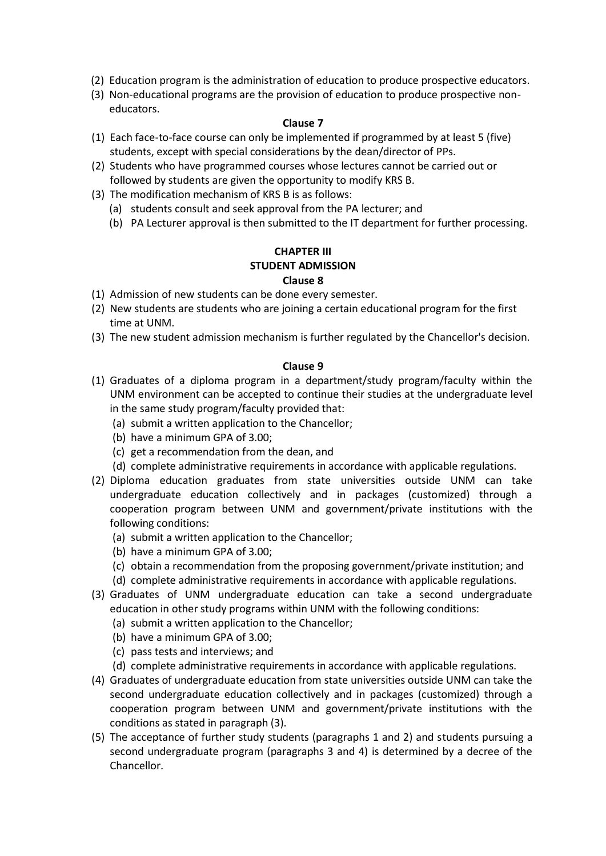- (2) Education program is the administration of education to produce prospective educators.
- (3) Non-educational programs are the provision of education to produce prospective noneducators.

- (1) Each face-to-face course can only be implemented if programmed by at least 5 (five) students, except with special considerations by the dean/director of PPs.
- (2) Students who have programmed courses whose lectures cannot be carried out or followed by students are given the opportunity to modify KRS B.
- (3) The modification mechanism of KRS B is as follows:
	- (a) students consult and seek approval from the PA lecturer; and
	- (b) PA Lecturer approval is then submitted to the IT department for further processing.

## **CHAPTER III STUDENT ADMISSION Clause 8**

- (1) Admission of new students can be done every semester.
- (2) New students are students who are joining a certain educational program for the first time at UNM.
- (3) The new student admission mechanism is further regulated by the Chancellor's decision.

- (1) Graduates of a diploma program in a department/study program/faculty within the UNM environment can be accepted to continue their studies at the undergraduate level in the same study program/faculty provided that:
	- (a) submit a written application to the Chancellor;
	- (b) have a minimum GPA of 3.00;
	- (c) get a recommendation from the dean, and
	- (d) complete administrative requirements in accordance with applicable regulations.
- (2) Diploma education graduates from state universities outside UNM can take undergraduate education collectively and in packages (customized) through a cooperation program between UNM and government/private institutions with the following conditions:
	- (a) submit a written application to the Chancellor;
	- (b) have a minimum GPA of 3.00;
	- (c) obtain a recommendation from the proposing government/private institution; and
	- (d) complete administrative requirements in accordance with applicable regulations.
- (3) Graduates of UNM undergraduate education can take a second undergraduate education in other study programs within UNM with the following conditions:
	- (a) submit a written application to the Chancellor;
	- (b) have a minimum GPA of 3.00;
	- (c) pass tests and interviews; and
	- (d) complete administrative requirements in accordance with applicable regulations.
- (4) Graduates of undergraduate education from state universities outside UNM can take the second undergraduate education collectively and in packages (customized) through a cooperation program between UNM and government/private institutions with the conditions as stated in paragraph (3).
- (5) The acceptance of further study students (paragraphs 1 and 2) and students pursuing a second undergraduate program (paragraphs 3 and 4) is determined by a decree of the Chancellor.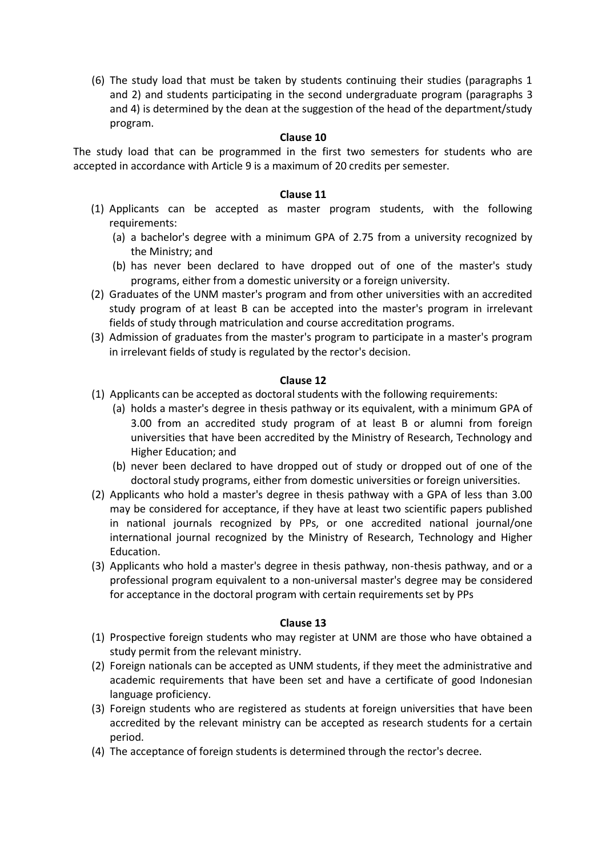(6) The study load that must be taken by students continuing their studies (paragraphs 1 and 2) and students participating in the second undergraduate program (paragraphs 3 and 4) is determined by the dean at the suggestion of the head of the department/study program.

#### **Clause 10**

The study load that can be programmed in the first two semesters for students who are accepted in accordance with Article 9 is a maximum of 20 credits per semester.

#### **Clause 11**

- (1) Applicants can be accepted as master program students, with the following requirements:
	- (a) a bachelor's degree with a minimum GPA of 2.75 from a university recognized by the Ministry; and
	- (b) has never been declared to have dropped out of one of the master's study programs, either from a domestic university or a foreign university.
- (2) Graduates of the UNM master's program and from other universities with an accredited study program of at least B can be accepted into the master's program in irrelevant fields of study through matriculation and course accreditation programs.
- (3) Admission of graduates from the master's program to participate in a master's program in irrelevant fields of study is regulated by the rector's decision.

#### **Clause 12**

- (1) Applicants can be accepted as doctoral students with the following requirements:
	- (a) holds a master's degree in thesis pathway or its equivalent, with a minimum GPA of 3.00 from an accredited study program of at least B or alumni from foreign universities that have been accredited by the Ministry of Research, Technology and Higher Education; and
	- (b) never been declared to have dropped out of study or dropped out of one of the doctoral study programs, either from domestic universities or foreign universities.
- (2) Applicants who hold a master's degree in thesis pathway with a GPA of less than 3.00 may be considered for acceptance, if they have at least two scientific papers published in national journals recognized by PPs, or one accredited national journal/one international journal recognized by the Ministry of Research, Technology and Higher Education.
- (3) Applicants who hold a master's degree in thesis pathway, non-thesis pathway, and or a professional program equivalent to a non-universal master's degree may be considered for acceptance in the doctoral program with certain requirements set by PPs

- (1) Prospective foreign students who may register at UNM are those who have obtained a study permit from the relevant ministry.
- (2) Foreign nationals can be accepted as UNM students, if they meet the administrative and academic requirements that have been set and have a certificate of good Indonesian language proficiency.
- (3) Foreign students who are registered as students at foreign universities that have been accredited by the relevant ministry can be accepted as research students for a certain period.
- (4) The acceptance of foreign students is determined through the rector's decree.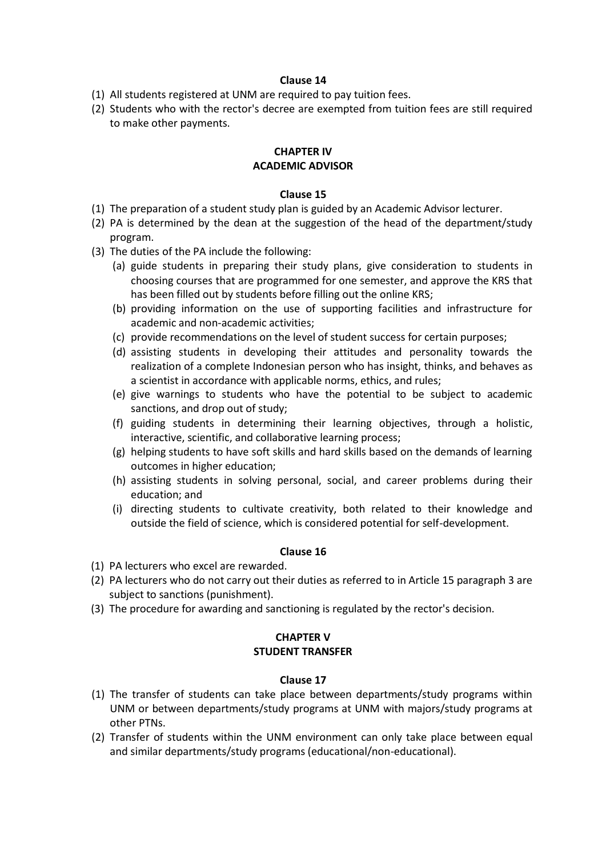- (1) All students registered at UNM are required to pay tuition fees.
- (2) Students who with the rector's decree are exempted from tuition fees are still required to make other payments.

#### **CHAPTER IV ACADEMIC ADVISOR**

#### **Clause 15**

- (1) The preparation of a student study plan is guided by an Academic Advisor lecturer.
- (2) PA is determined by the dean at the suggestion of the head of the department/study program.
- (3) The duties of the PA include the following:
	- (a) guide students in preparing their study plans, give consideration to students in choosing courses that are programmed for one semester, and approve the KRS that has been filled out by students before filling out the online KRS;
	- (b) providing information on the use of supporting facilities and infrastructure for academic and non-academic activities;
	- (c) provide recommendations on the level of student success for certain purposes;
	- (d) assisting students in developing their attitudes and personality towards the realization of a complete Indonesian person who has insight, thinks, and behaves as a scientist in accordance with applicable norms, ethics, and rules;
	- (e) give warnings to students who have the potential to be subject to academic sanctions, and drop out of study;
	- (f) guiding students in determining their learning objectives, through a holistic, interactive, scientific, and collaborative learning process;
	- (g) helping students to have soft skills and hard skills based on the demands of learning outcomes in higher education;
	- (h) assisting students in solving personal, social, and career problems during their education; and
	- (i) directing students to cultivate creativity, both related to their knowledge and outside the field of science, which is considered potential for self-development.

## **Clause 16**

- (1) PA lecturers who excel are rewarded.
- (2) PA lecturers who do not carry out their duties as referred to in Article 15 paragraph 3 are subject to sanctions (punishment).
- (3) The procedure for awarding and sanctioning is regulated by the rector's decision.

## **CHAPTER V STUDENT TRANSFER**

- (1) The transfer of students can take place between departments/study programs within UNM or between departments/study programs at UNM with majors/study programs at other PTNs.
- (2) Transfer of students within the UNM environment can only take place between equal and similar departments/study programs (educational/non-educational).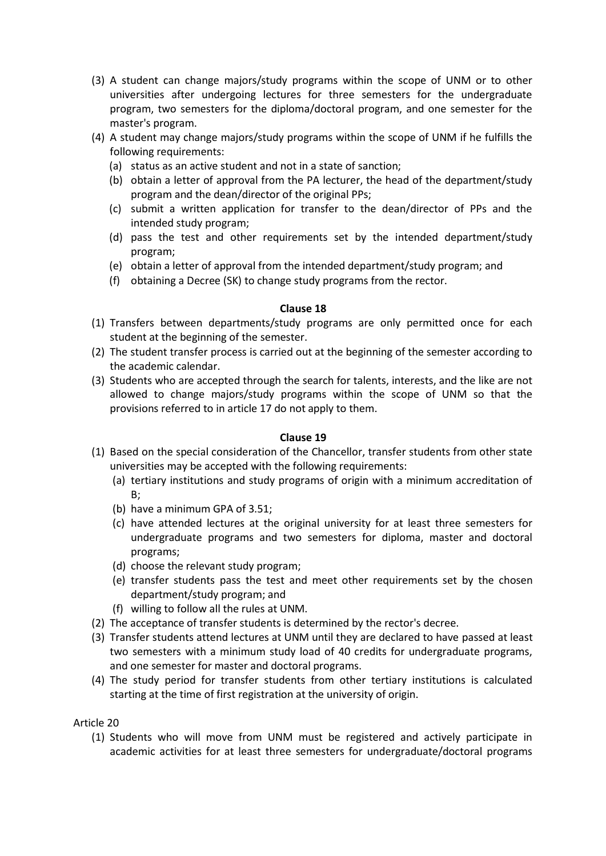- (3) A student can change majors/study programs within the scope of UNM or to other universities after undergoing lectures for three semesters for the undergraduate program, two semesters for the diploma/doctoral program, and one semester for the master's program.
- (4) A student may change majors/study programs within the scope of UNM if he fulfills the following requirements:
	- (a) status as an active student and not in a state of sanction;
	- (b) obtain a letter of approval from the PA lecturer, the head of the department/study program and the dean/director of the original PPs;
	- (c) submit a written application for transfer to the dean/director of PPs and the intended study program;
	- (d) pass the test and other requirements set by the intended department/study program;
	- (e) obtain a letter of approval from the intended department/study program; and
	- (f) obtaining a Decree (SK) to change study programs from the rector.

- (1) Transfers between departments/study programs are only permitted once for each student at the beginning of the semester.
- (2) The student transfer process is carried out at the beginning of the semester according to the academic calendar.
- (3) Students who are accepted through the search for talents, interests, and the like are not allowed to change majors/study programs within the scope of UNM so that the provisions referred to in article 17 do not apply to them.

## **Clause 19**

- (1) Based on the special consideration of the Chancellor, transfer students from other state universities may be accepted with the following requirements:
	- (a) tertiary institutions and study programs of origin with a minimum accreditation of B;
	- (b) have a minimum GPA of 3.51;
	- (c) have attended lectures at the original university for at least three semesters for undergraduate programs and two semesters for diploma, master and doctoral programs;
	- (d) choose the relevant study program;
	- (e) transfer students pass the test and meet other requirements set by the chosen department/study program; and
	- (f) willing to follow all the rules at UNM.
- (2) The acceptance of transfer students is determined by the rector's decree.
- (3) Transfer students attend lectures at UNM until they are declared to have passed at least two semesters with a minimum study load of 40 credits for undergraduate programs, and one semester for master and doctoral programs.
- (4) The study period for transfer students from other tertiary institutions is calculated starting at the time of first registration at the university of origin.

Article 20

(1) Students who will move from UNM must be registered and actively participate in academic activities for at least three semesters for undergraduate/doctoral programs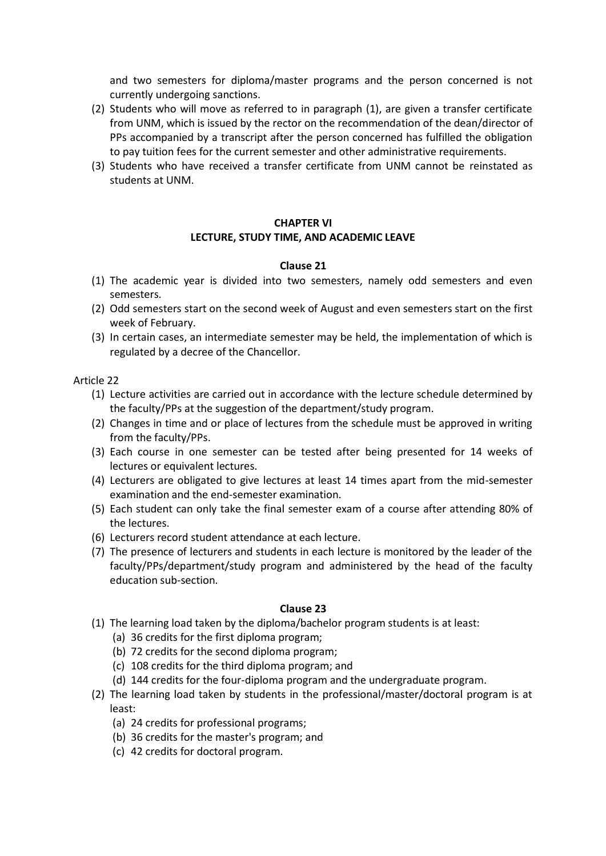and two semesters for diploma/master programs and the person concerned is not currently undergoing sanctions.

- (2) Students who will move as referred to in paragraph (1), are given a transfer certificate from UNM, which is issued by the rector on the recommendation of the dean/director of PPs accompanied by a transcript after the person concerned has fulfilled the obligation to pay tuition fees for the current semester and other administrative requirements.
- (3) Students who have received a transfer certificate from UNM cannot be reinstated as students at UNM.

#### **CHAPTER VI**

## **LECTURE, STUDY TIME, AND ACADEMIC LEAVE**

#### **Clause 21**

- (1) The academic year is divided into two semesters, namely odd semesters and even semesters.
- (2) Odd semesters start on the second week of August and even semesters start on the first week of February.
- (3) In certain cases, an intermediate semester may be held, the implementation of which is regulated by a decree of the Chancellor.

Article 22

- (1) Lecture activities are carried out in accordance with the lecture schedule determined by the faculty/PPs at the suggestion of the department/study program.
- (2) Changes in time and or place of lectures from the schedule must be approved in writing from the faculty/PPs.
- (3) Each course in one semester can be tested after being presented for 14 weeks of lectures or equivalent lectures.
- (4) Lecturers are obligated to give lectures at least 14 times apart from the mid-semester examination and the end-semester examination.
- (5) Each student can only take the final semester exam of a course after attending 80% of the lectures.
- (6) Lecturers record student attendance at each lecture.
- (7) The presence of lecturers and students in each lecture is monitored by the leader of the faculty/PPs/department/study program and administered by the head of the faculty education sub-section.

- (1) The learning load taken by the diploma/bachelor program students is at least:
	- (a) 36 credits for the first diploma program;
	- (b) 72 credits for the second diploma program;
	- (c) 108 credits for the third diploma program; and
	- (d) 144 credits for the four-diploma program and the undergraduate program.
- (2) The learning load taken by students in the professional/master/doctoral program is at least:
	- (a) 24 credits for professional programs;
	- (b) 36 credits for the master's program; and
	- (c) 42 credits for doctoral program.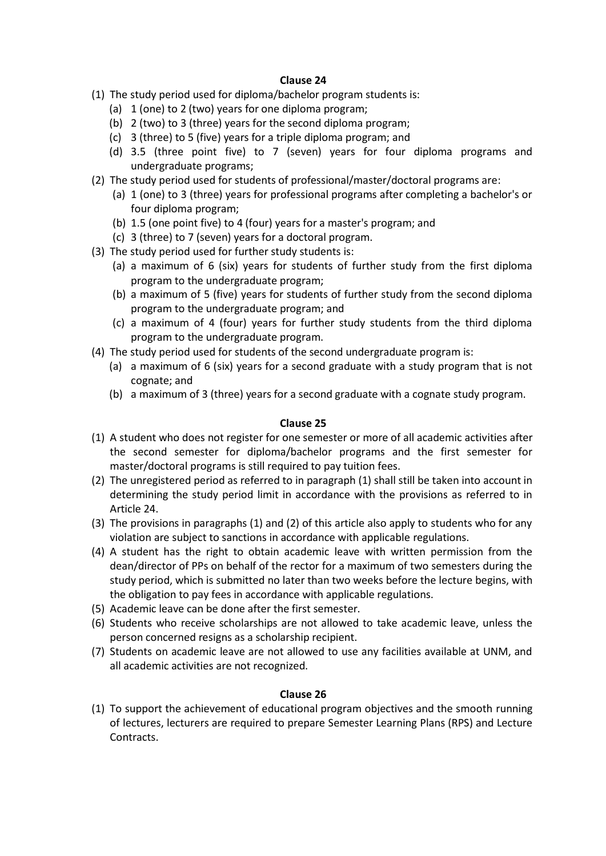- (1) The study period used for diploma/bachelor program students is:
	- (a) 1 (one) to 2 (two) years for one diploma program;
	- (b) 2 (two) to 3 (three) years for the second diploma program;
	- (c) 3 (three) to 5 (five) years for a triple diploma program; and
	- (d) 3.5 (three point five) to 7 (seven) years for four diploma programs and undergraduate programs;
- (2) The study period used for students of professional/master/doctoral programs are:
	- (a) 1 (one) to 3 (three) years for professional programs after completing a bachelor's or four diploma program;
	- (b) 1.5 (one point five) to 4 (four) years for a master's program; and
	- (c) 3 (three) to 7 (seven) years for a doctoral program.
- (3) The study period used for further study students is:
	- (a) a maximum of 6 (six) years for students of further study from the first diploma program to the undergraduate program;
	- (b) a maximum of 5 (five) years for students of further study from the second diploma program to the undergraduate program; and
	- (c) a maximum of 4 (four) years for further study students from the third diploma program to the undergraduate program.
- (4) The study period used for students of the second undergraduate program is:
	- (a) a maximum of 6 (six) years for a second graduate with a study program that is not cognate; and
	- (b) a maximum of 3 (three) years for a second graduate with a cognate study program.

#### **Clause 25**

- (1) A student who does not register for one semester or more of all academic activities after the second semester for diploma/bachelor programs and the first semester for master/doctoral programs is still required to pay tuition fees.
- (2) The unregistered period as referred to in paragraph (1) shall still be taken into account in determining the study period limit in accordance with the provisions as referred to in Article 24.
- (3) The provisions in paragraphs (1) and (2) of this article also apply to students who for any violation are subject to sanctions in accordance with applicable regulations.
- (4) A student has the right to obtain academic leave with written permission from the dean/director of PPs on behalf of the rector for a maximum of two semesters during the study period, which is submitted no later than two weeks before the lecture begins, with the obligation to pay fees in accordance with applicable regulations.
- (5) Academic leave can be done after the first semester.
- (6) Students who receive scholarships are not allowed to take academic leave, unless the person concerned resigns as a scholarship recipient.
- (7) Students on academic leave are not allowed to use any facilities available at UNM, and all academic activities are not recognized.

#### **Clause 26**

(1) To support the achievement of educational program objectives and the smooth running of lectures, lecturers are required to prepare Semester Learning Plans (RPS) and Lecture Contracts.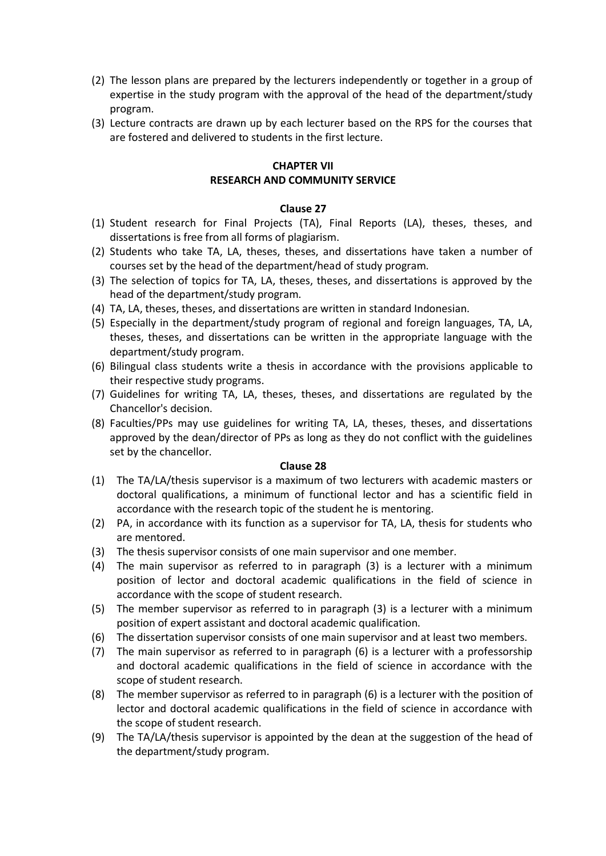- (2) The lesson plans are prepared by the lecturers independently or together in a group of expertise in the study program with the approval of the head of the department/study program.
- (3) Lecture contracts are drawn up by each lecturer based on the RPS for the courses that are fostered and delivered to students in the first lecture.

#### **CHAPTER VII RESEARCH AND COMMUNITY SERVICE**

#### **Clause 27**

- (1) Student research for Final Projects (TA), Final Reports (LA), theses, theses, and dissertations is free from all forms of plagiarism.
- (2) Students who take TA, LA, theses, theses, and dissertations have taken a number of courses set by the head of the department/head of study program.
- (3) The selection of topics for TA, LA, theses, theses, and dissertations is approved by the head of the department/study program.
- (4) TA, LA, theses, theses, and dissertations are written in standard Indonesian.
- (5) Especially in the department/study program of regional and foreign languages, TA, LA, theses, theses, and dissertations can be written in the appropriate language with the department/study program.
- (6) Bilingual class students write a thesis in accordance with the provisions applicable to their respective study programs.
- (7) Guidelines for writing TA, LA, theses, theses, and dissertations are regulated by the Chancellor's decision.
- (8) Faculties/PPs may use guidelines for writing TA, LA, theses, theses, and dissertations approved by the dean/director of PPs as long as they do not conflict with the guidelines set by the chancellor.

- (1) The TA/LA/thesis supervisor is a maximum of two lecturers with academic masters or doctoral qualifications, a minimum of functional lector and has a scientific field in accordance with the research topic of the student he is mentoring.
- (2) PA, in accordance with its function as a supervisor for TA, LA, thesis for students who are mentored.
- (3) The thesis supervisor consists of one main supervisor and one member.
- (4) The main supervisor as referred to in paragraph (3) is a lecturer with a minimum position of lector and doctoral academic qualifications in the field of science in accordance with the scope of student research.
- (5) The member supervisor as referred to in paragraph (3) is a lecturer with a minimum position of expert assistant and doctoral academic qualification.
- (6) The dissertation supervisor consists of one main supervisor and at least two members.
- (7) The main supervisor as referred to in paragraph (6) is a lecturer with a professorship and doctoral academic qualifications in the field of science in accordance with the scope of student research.
- (8) The member supervisor as referred to in paragraph (6) is a lecturer with the position of lector and doctoral academic qualifications in the field of science in accordance with the scope of student research.
- (9) The TA/LA/thesis supervisor is appointed by the dean at the suggestion of the head of the department/study program.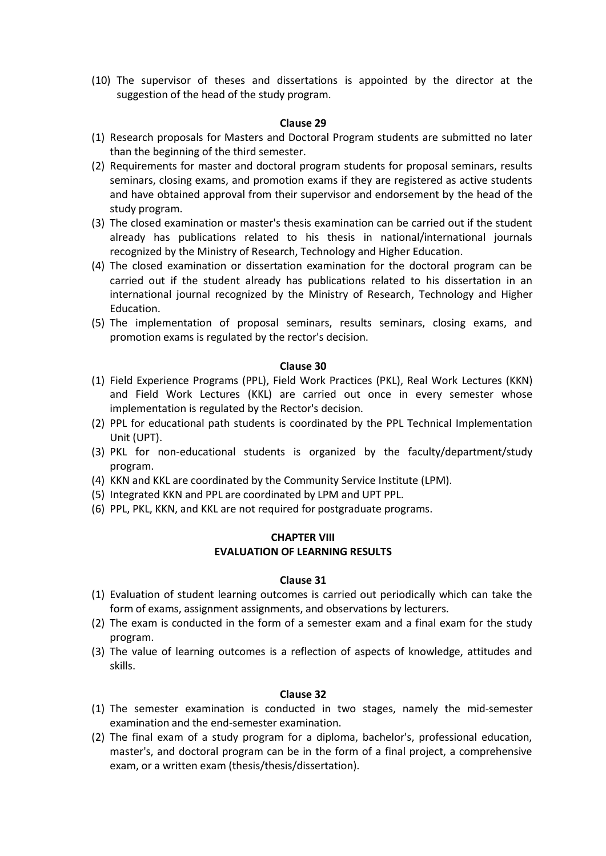(10) The supervisor of theses and dissertations is appointed by the director at the suggestion of the head of the study program.

#### **Clause 29**

- (1) Research proposals for Masters and Doctoral Program students are submitted no later than the beginning of the third semester.
- (2) Requirements for master and doctoral program students for proposal seminars, results seminars, closing exams, and promotion exams if they are registered as active students and have obtained approval from their supervisor and endorsement by the head of the study program.
- (3) The closed examination or master's thesis examination can be carried out if the student already has publications related to his thesis in national/international journals recognized by the Ministry of Research, Technology and Higher Education.
- (4) The closed examination or dissertation examination for the doctoral program can be carried out if the student already has publications related to his dissertation in an international journal recognized by the Ministry of Research, Technology and Higher Education.
- (5) The implementation of proposal seminars, results seminars, closing exams, and promotion exams is regulated by the rector's decision.

#### **Clause 30**

- (1) Field Experience Programs (PPL), Field Work Practices (PKL), Real Work Lectures (KKN) and Field Work Lectures (KKL) are carried out once in every semester whose implementation is regulated by the Rector's decision.
- (2) PPL for educational path students is coordinated by the PPL Technical Implementation Unit (UPT).
- (3) PKL for non-educational students is organized by the faculty/department/study program.
- (4) KKN and KKL are coordinated by the Community Service Institute (LPM).
- (5) Integrated KKN and PPL are coordinated by LPM and UPT PPL.
- (6) PPL, PKL, KKN, and KKL are not required for postgraduate programs.

#### **CHAPTER VIII EVALUATION OF LEARNING RESULTS**

#### **Clause 31**

- (1) Evaluation of student learning outcomes is carried out periodically which can take the form of exams, assignment assignments, and observations by lecturers.
- (2) The exam is conducted in the form of a semester exam and a final exam for the study program.
- (3) The value of learning outcomes is a reflection of aspects of knowledge, attitudes and skills.

- (1) The semester examination is conducted in two stages, namely the mid-semester examination and the end-semester examination.
- (2) The final exam of a study program for a diploma, bachelor's, professional education, master's, and doctoral program can be in the form of a final project, a comprehensive exam, or a written exam (thesis/thesis/dissertation).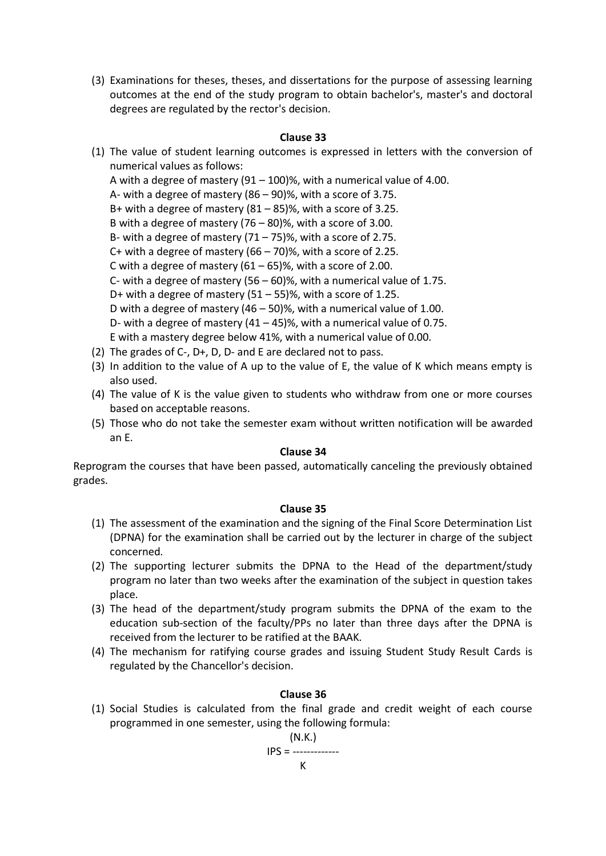(3) Examinations for theses, theses, and dissertations for the purpose of assessing learning outcomes at the end of the study program to obtain bachelor's, master's and doctoral degrees are regulated by the rector's decision.

#### **Clause 33**

- (1) The value of student learning outcomes is expressed in letters with the conversion of numerical values as follows: A with a degree of mastery  $(91 - 100)$ %, with a numerical value of 4.00. A- with a degree of mastery (86 – 90)%, with a score of 3.75. B+ with a degree of mastery (81 – 85)%, with a score of 3.25. B with a degree of mastery (76 – 80)%, with a score of 3.00. B- with a degree of mastery  $(71 – 75)$ %, with a score of 2.75. C+ with a degree of mastery  $(66 - 70)$ %, with a score of 2.25. C with a degree of mastery  $(61 – 65)$ %, with a score of 2.00. C- with a degree of mastery  $(56 - 60)$ %, with a numerical value of 1.75. D+ with a degree of mastery  $(51 – 55)$ %, with a score of 1.25. D with a degree of mastery (46 – 50)%, with a numerical value of 1.00. D- with a degree of mastery  $(41 - 45)$ %, with a numerical value of 0.75. E with a mastery degree below 41%, with a numerical value of 0.00.
- (2) The grades of C-, D+, D, D- and E are declared not to pass.
- (3) In addition to the value of A up to the value of E, the value of K which means empty is also used.
- (4) The value of K is the value given to students who withdraw from one or more courses based on acceptable reasons.
- (5) Those who do not take the semester exam without written notification will be awarded an E.

#### **Clause 34**

Reprogram the courses that have been passed, automatically canceling the previously obtained grades.

#### **Clause 35**

- (1) The assessment of the examination and the signing of the Final Score Determination List (DPNA) for the examination shall be carried out by the lecturer in charge of the subject concerned.
- (2) The supporting lecturer submits the DPNA to the Head of the department/study program no later than two weeks after the examination of the subject in question takes place.
- (3) The head of the department/study program submits the DPNA of the exam to the education sub-section of the faculty/PPs no later than three days after the DPNA is received from the lecturer to be ratified at the BAAK.
- (4) The mechanism for ratifying course grades and issuing Student Study Result Cards is regulated by the Chancellor's decision.

#### **Clause 36**

(1) Social Studies is calculated from the final grade and credit weight of each course programmed in one semester, using the following formula:

$$
(N.K.)
$$

$$
IPS =
$$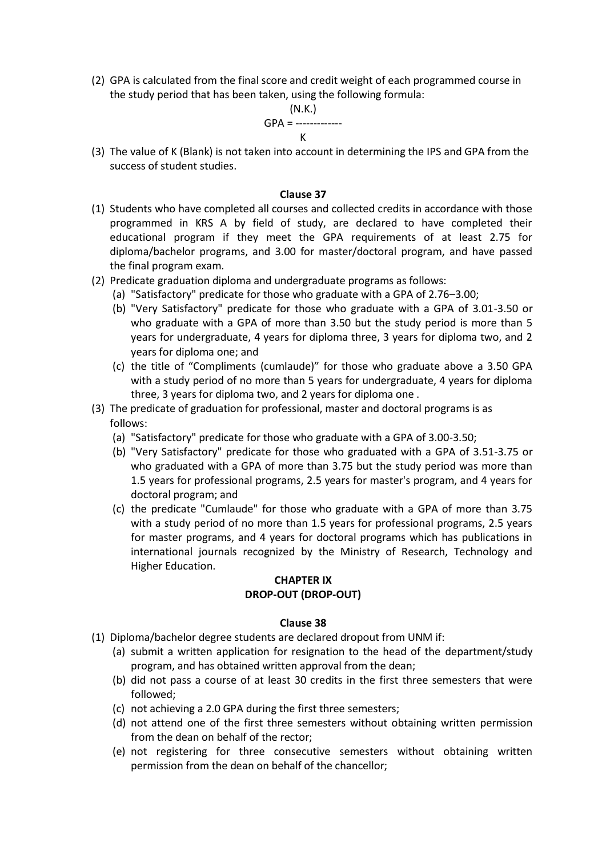(2) GPA is calculated from the final score and credit weight of each programmed course in the study period that has been taken, using the following formula:

## (N.K.)

#### GPA = ------------- K

(3) The value of K (Blank) is not taken into account in determining the IPS and GPA from the success of student studies.

#### **Clause 37**

- (1) Students who have completed all courses and collected credits in accordance with those programmed in KRS A by field of study, are declared to have completed their educational program if they meet the GPA requirements of at least 2.75 for diploma/bachelor programs, and 3.00 for master/doctoral program, and have passed the final program exam.
- (2) Predicate graduation diploma and undergraduate programs as follows:
	- (a) "Satisfactory" predicate for those who graduate with a GPA of 2.76–3.00;
	- (b) "Very Satisfactory" predicate for those who graduate with a GPA of 3.01-3.50 or who graduate with a GPA of more than 3.50 but the study period is more than 5 years for undergraduate, 4 years for diploma three, 3 years for diploma two, and 2 years for diploma one; and
	- (c) the title of "Compliments (cumlaude)" for those who graduate above a 3.50 GPA with a study period of no more than 5 years for undergraduate, 4 years for diploma three, 3 years for diploma two, and 2 years for diploma one .
- (3) The predicate of graduation for professional, master and doctoral programs is as follows:
	- (a) "Satisfactory" predicate for those who graduate with a GPA of 3.00-3.50;
	- (b) "Very Satisfactory" predicate for those who graduated with a GPA of 3.51-3.75 or who graduated with a GPA of more than 3.75 but the study period was more than 1.5 years for professional programs, 2.5 years for master's program, and 4 years for doctoral program; and
	- (c) the predicate "Cumlaude" for those who graduate with a GPA of more than 3.75 with a study period of no more than 1.5 years for professional programs, 2.5 years for master programs, and 4 years for doctoral programs which has publications in international journals recognized by the Ministry of Research, Technology and Higher Education.

#### **CHAPTER IX DROP-OUT (DROP-OUT)**

- (1) Diploma/bachelor degree students are declared dropout from UNM if:
	- (a) submit a written application for resignation to the head of the department/study program, and has obtained written approval from the dean;
	- (b) did not pass a course of at least 30 credits in the first three semesters that were followed;
	- (c) not achieving a 2.0 GPA during the first three semesters;
	- (d) not attend one of the first three semesters without obtaining written permission from the dean on behalf of the rector;
	- (e) not registering for three consecutive semesters without obtaining written permission from the dean on behalf of the chancellor;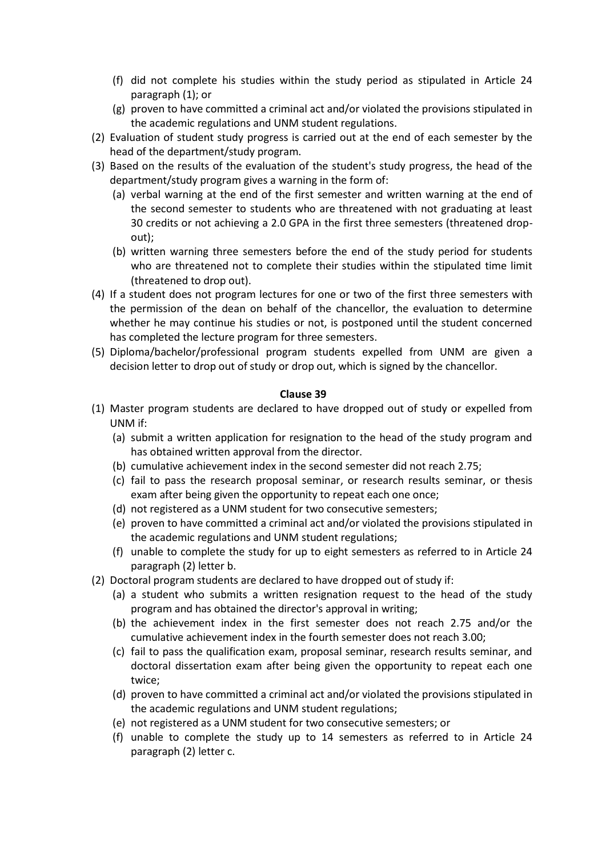- (f) did not complete his studies within the study period as stipulated in Article 24 paragraph (1); or
- (g) proven to have committed a criminal act and/or violated the provisions stipulated in the academic regulations and UNM student regulations.
- (2) Evaluation of student study progress is carried out at the end of each semester by the head of the department/study program.
- (3) Based on the results of the evaluation of the student's study progress, the head of the department/study program gives a warning in the form of:
	- (a) verbal warning at the end of the first semester and written warning at the end of the second semester to students who are threatened with not graduating at least 30 credits or not achieving a 2.0 GPA in the first three semesters (threatened dropout);
	- (b) written warning three semesters before the end of the study period for students who are threatened not to complete their studies within the stipulated time limit (threatened to drop out).
- (4) If a student does not program lectures for one or two of the first three semesters with the permission of the dean on behalf of the chancellor, the evaluation to determine whether he may continue his studies or not, is postponed until the student concerned has completed the lecture program for three semesters.
- (5) Diploma/bachelor/professional program students expelled from UNM are given a decision letter to drop out of study or drop out, which is signed by the chancellor.

- (1) Master program students are declared to have dropped out of study or expelled from UNM if:
	- (a) submit a written application for resignation to the head of the study program and has obtained written approval from the director.
	- (b) cumulative achievement index in the second semester did not reach 2.75;
	- (c) fail to pass the research proposal seminar, or research results seminar, or thesis exam after being given the opportunity to repeat each one once;
	- (d) not registered as a UNM student for two consecutive semesters;
	- (e) proven to have committed a criminal act and/or violated the provisions stipulated in the academic regulations and UNM student regulations;
	- (f) unable to complete the study for up to eight semesters as referred to in Article 24 paragraph (2) letter b.
- (2) Doctoral program students are declared to have dropped out of study if:
	- (a) a student who submits a written resignation request to the head of the study program and has obtained the director's approval in writing;
	- (b) the achievement index in the first semester does not reach 2.75 and/or the cumulative achievement index in the fourth semester does not reach 3.00;
	- (c) fail to pass the qualification exam, proposal seminar, research results seminar, and doctoral dissertation exam after being given the opportunity to repeat each one twice;
	- (d) proven to have committed a criminal act and/or violated the provisions stipulated in the academic regulations and UNM student regulations;
	- (e) not registered as a UNM student for two consecutive semesters; or
	- (f) unable to complete the study up to 14 semesters as referred to in Article 24 paragraph (2) letter c.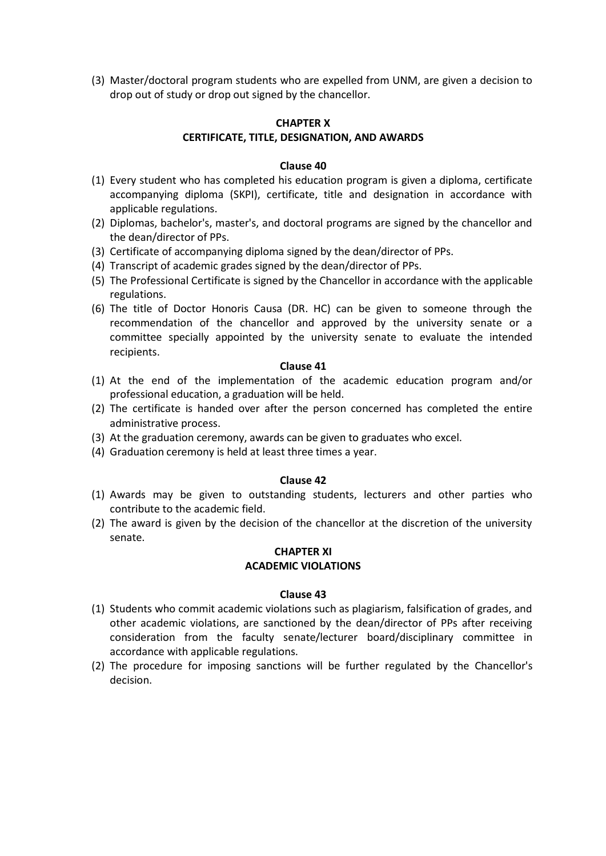(3) Master/doctoral program students who are expelled from UNM, are given a decision to drop out of study or drop out signed by the chancellor.

#### **CHAPTER X CERTIFICATE, TITLE, DESIGNATION, AND AWARDS**

#### **Clause 40**

- (1) Every student who has completed his education program is given a diploma, certificate accompanying diploma (SKPI), certificate, title and designation in accordance with applicable regulations.
- (2) Diplomas, bachelor's, master's, and doctoral programs are signed by the chancellor and the dean/director of PPs.
- (3) Certificate of accompanying diploma signed by the dean/director of PPs.
- (4) Transcript of academic grades signed by the dean/director of PPs.
- (5) The Professional Certificate is signed by the Chancellor in accordance with the applicable regulations.
- (6) The title of Doctor Honoris Causa (DR. HC) can be given to someone through the recommendation of the chancellor and approved by the university senate or a committee specially appointed by the university senate to evaluate the intended recipients.

#### **Clause 41**

- (1) At the end of the implementation of the academic education program and/or professional education, a graduation will be held.
- (2) The certificate is handed over after the person concerned has completed the entire administrative process.
- (3) At the graduation ceremony, awards can be given to graduates who excel.
- (4) Graduation ceremony is held at least three times a year.

#### **Clause 42**

- (1) Awards may be given to outstanding students, lecturers and other parties who contribute to the academic field.
- (2) The award is given by the decision of the chancellor at the discretion of the university senate.

#### **CHAPTER XI ACADEMIC VIOLATIONS**

- (1) Students who commit academic violations such as plagiarism, falsification of grades, and other academic violations, are sanctioned by the dean/director of PPs after receiving consideration from the faculty senate/lecturer board/disciplinary committee in accordance with applicable regulations.
- (2) The procedure for imposing sanctions will be further regulated by the Chancellor's decision.